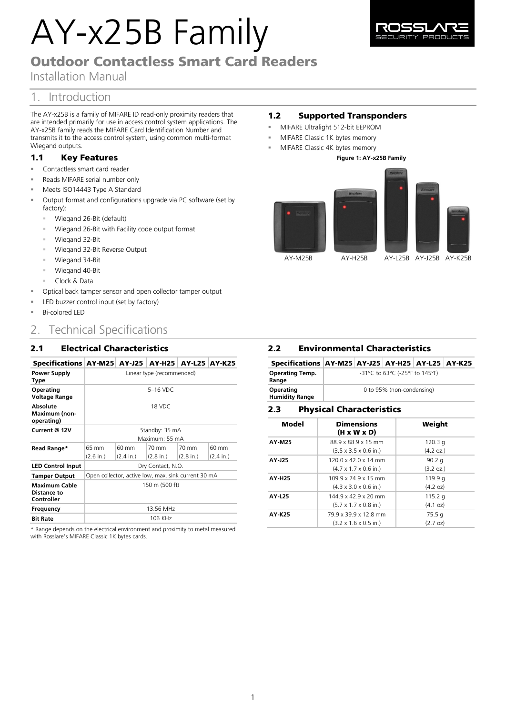# AY-x25B Family



Installation Manual

# 1. Introduction

The AY-x25B is a family of MIFARE ID read-only proximity readers that are intended primarily for use in access control system applications. The AY-x25B family reads the MIFARE Card Identification Number and transmits it to the access control system, using common multi-format Wiegand outputs.

## 1.1 Key Features

- Contactless smart card reader
- Reads MIFARE serial number only
- Meets ISO14443 Type A Standard
- Output format and configurations upgrade via PC software (set by factory):
	- Wiegand 26-Bit (default)
	- Wiegand 26-Bit with Facility code output format
	- Wiegand 32-Bit
	- Wiegand 32-Bit Reverse Output
	- Wiegand 34-Bit
	- Wiegand 40-Bit
	- Clock & Data
- Optical back tamper sensor and open collector tamper output
- LED buzzer control input (set by factory)
- Bi-colored LED

# 2. Technical Specifications

## 2.1 Electrical Characteristics

# Specifications AY-M25 AY-J25 AY-H25 AY-L25 AY-K25

| Power Supply<br>Type                              | Linear type (recommended)                           |                     |                     |           |                     |
|---------------------------------------------------|-----------------------------------------------------|---------------------|---------------------|-----------|---------------------|
| Operating<br>Voltage Range                        | 5-16 VDC                                            |                     |                     |           |                     |
| Absolute<br>Maximum (non-<br>operating)           | 18 VDC                                              |                     |                     |           |                     |
| Current @ 12V                                     | Standby: 35 mA<br>Maximum: 55 mA                    |                     |                     |           |                     |
| Read Range*                                       | 65 mm                                               | 60 mm               | 70 mm               | 70 mm     | 60 mm               |
|                                                   | (2.6 in.)                                           | $(2.4 \text{ in.})$ | $(2.8 \text{ in.})$ | (2.8 in.) | $(2.4 \text{ in.})$ |
| <b>LED Control Input</b>                          | Dry Contact, N.O.                                   |                     |                     |           |                     |
| <b>Tamper Output</b>                              | Open collector, active low, max. sink current 30 mA |                     |                     |           |                     |
| <b>Maximum Cable</b><br>Distance to<br>Controller | 150 m (500 ft)                                      |                     |                     |           |                     |
| Frequency                                         | 13.56 MHz                                           |                     |                     |           |                     |
| <b>Bit Rate</b>                                   | 106 KHz                                             |                     |                     |           |                     |

\* Range depends on the electrical environment and proximity to metal measured with Rosslare's MIFARE Classic 1K bytes cards.

# 1.2 Supported Transponders

- MIFARE Ultralight 512-bit EEPROM
- MIFARE Classic 1K bytes memory
	- MIFARE Classic 4K bytes memory





#### 2.2 Environmental Characteristics Specifications AY-M25 AY-J25 AY-H25 AY-L25 AY-K25 **Operating Temp. Range** -31°C to 63°C (-25°F to 145°F)

| Operating<br><b>Humidity Range</b> | 0 to 95% (non-condensing) |
|------------------------------------|---------------------------|
|                                    |                           |

## 2.3 Physical Characteristics

| Model         | <b>Dimensions</b><br>(H x W x D)          | Weight             |
|---------------|-------------------------------------------|--------------------|
| AY-M25        | 88.9 x 88.9 x 15 mm                       | 120.3 <sub>q</sub> |
|               | $(3.5 \times 3.5 \times 0.6 \text{ in.})$ | (4.2 oz.)          |
| AY-J25        | 120.0 x 42.0 x 14 mm                      | 90.2 $q$           |
|               | $(4.7 \times 1.7 \times 0.6 \text{ in.})$ | (3.2 oz.)          |
| <b>AY-H25</b> | 109 9 x 74 9 x 15 mm                      | 119.9 g            |
|               | $(4.3 \times 3.0 \times 0.6 \text{ in.})$ | (4.2 oz)           |
| <b>AY-L25</b> | 144.9 x 42.9 x 20 mm                      | 115.2 $q$          |
|               | $(5.7 \times 1.7 \times 0.8 \text{ in.})$ | (4.1 oz)           |
| AY-K25        | 79.9 x 39.9 x 12.8 mm                     | 75.5q              |
|               | $(3.2 \times 1.6 \times 0.5 \text{ in.})$ | $(2.7 \text{ oz})$ |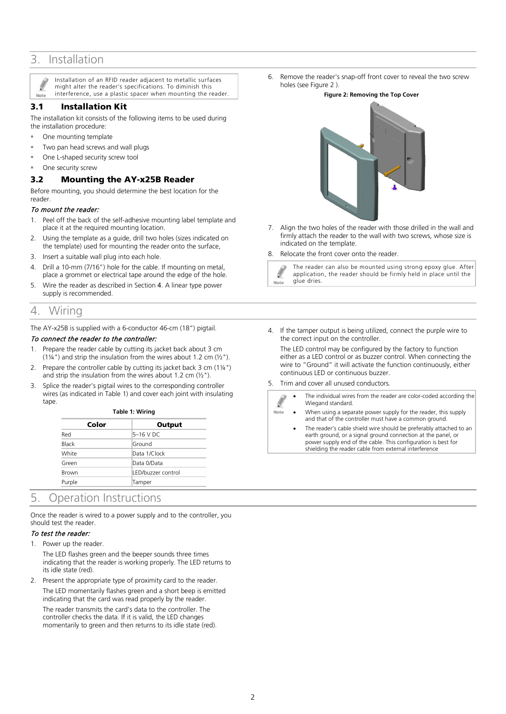# 3. Installation

Installation of an RFID reader adjacent to metallic surfaces might alter the reader's specifications. To diminish this interference, use a plastic spacer when mounting the reader. Note

## 3.1 Installation Kit

The installation kit consists of the following items to be used during the installation procedure:

- One mounting template
- Two pan head screws and wall plugs
- One L-shaped security screw tool
- One security screw

## 3.2 Mounting the AY-x25B Reader

Before mounting, you should determine the best location for the reader.

#### To mount the reader:

- 1. Peel off the back of the self-adhesive mounting label template and place it at the required mounting location.
- 2. Using the template as a guide, drill two holes (sizes indicated on the template) used for mounting the reader onto the surface,
- 3. Insert a suitable wall plug into each hole.
- 4. Drill a 10-mm (7/16") hole for the cable. If mounting on metal, place a grommet or electrical tape around the edge of the hole.
- 5. Wire the reader as described in Section [4](#page-1-0). A linear type power supply is recommended.

# <span id="page-1-0"></span>4. Wiring

The AY-x25B is supplied with a 6-conductor 46-cm (18") pigtail.

## To connect the reader to the controller:

- 1. Prepare the reader cable by cutting its jacket back about 3 cm (1¼") and strip the insulation from the wires about 1.2 cm (½").
- 2. Prepare the controller cable by cutting its jacket back 3 cm (1¼") and strip the insulation from the wires about 1.2 cm  $(\frac{1}{2})$ .
- <span id="page-1-2"></span>3. Splice the reader's pigtail wires to the corresponding controller wires (as indicated i[n Table 1\)](#page-1-2) and cover each joint with insulating tape.

| Table 1: Wiring |                    |  |  |  |
|-----------------|--------------------|--|--|--|
| Color           | Output             |  |  |  |
| Red             | 5-16 V DC          |  |  |  |
| <b>Black</b>    | Ground             |  |  |  |
| White           | Data 1/Clock       |  |  |  |
| Green           | Data 0/Data        |  |  |  |
| Brown           | LED/buzzer control |  |  |  |
| Purple          | Tamper             |  |  |  |

# 5. Operation Instructions

Once the reader is wired to a power supply and to the controller, you should test the reader.

### To test the reader:

1. Power up the reader.

The LED flashes green and the beeper sounds three times indicating that the reader is working properly. The LED returns to its idle state (red).

2. Present the appropriate type of proximity card to the reader. The LED momentarily flashes green and a short beep is emitted indicating that the card was read properly by the reader. The reader transmits the card's data to the controller. The controller checks the data. If it is valid, the LED changes momentarily to green and then returns to its idle state (red).

<span id="page-1-1"></span>6. Remove the reader's snap-off front cover to reveal the two screw holes (se[e Figure 2](#page-1-1) ).

#### **Figure 2: Removing the Top Cover**



7. Align the two holes of the reader with those drilled in the wall and firmly attach the reader to the wall with two screws, whose size is indicated on the template.

8. Relocate the front cover onto the reader.



4. If the tamper output is being utilized, connect the purple wire to the correct input on the controller.

The LED control may be configured by the factory to function either as a LED control or as buzzer control. When connecting the wire to "Ground" it will activate the function continuously, either continuous LED or continuous buzzer.

#### 5. Trim and cover all unused conductors.

- The individual wires from the reader are color-coded according the Wiegand standard. When using a separate power supply for the reader, this supply Note and that of the controller must have a common ground.
	- The reader's cable shield wire should be preferably attached to an earth ground, or a signal ground connection at the panel, or power supply end of the cable. This configuration is best for shielding the reader cable from external interference